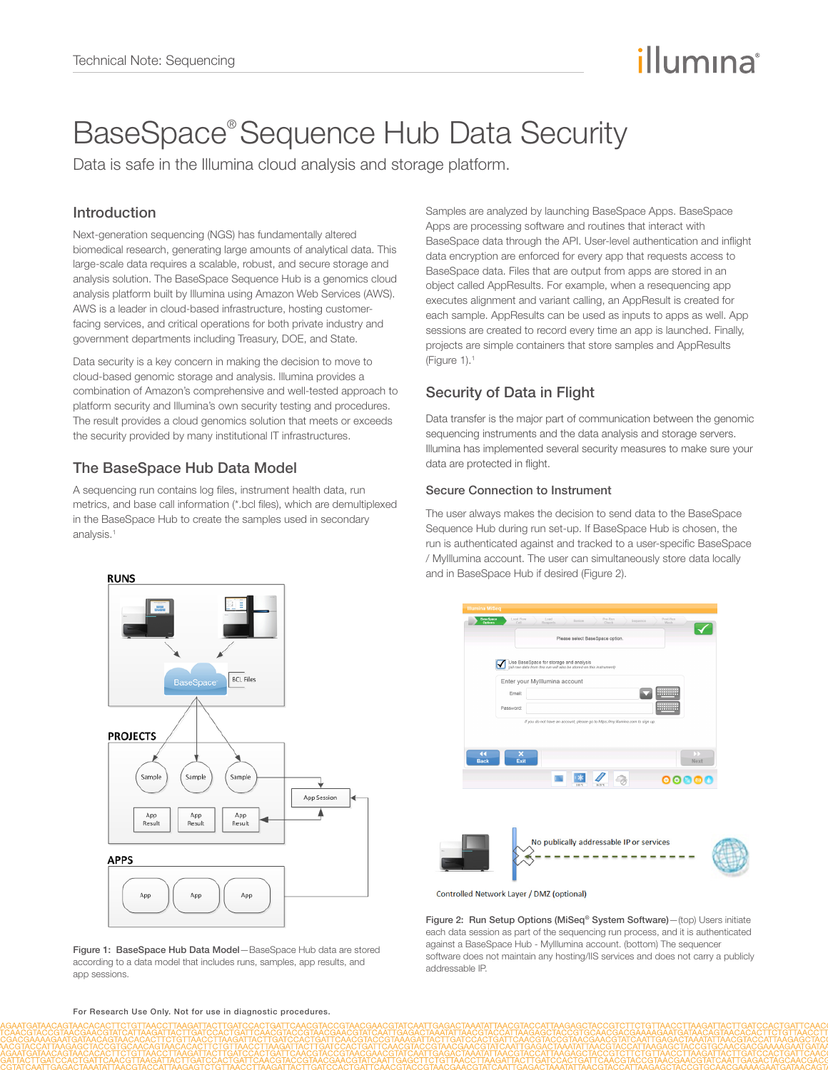# illumına

# BaseSpace® Sequence Hub Data Security

Data is safe in the Illumina cloud analysis and storage platform.

## Introduction

Next-generation sequencing (NGS) has fundamentally altered biomedical research, generating large amounts of analytical data. This large-scale data requires a scalable, robust, and secure storage and analysis solution. The BaseSpace Sequence Hub is a genomics cloud analysis platform built by Illumina using Amazon Web Services (AWS). AWS is a leader in cloud-based infrastructure, hosting customerfacing services, and critical operations for both private industry and government departments including Treasury, DOE, and State.

Data security is a key concern in making the decision to move to cloud-based genomic storage and analysis. Illumina provides a combination of Amazon's comprehensive and well-tested approach to platform security and Illumina's own security testing and procedures. The result provides a cloud genomics solution that meets or exceeds the security provided by many institutional IT infrastructures.

# The BaseSpace Hub Data Model

A sequencing run contains log files, instrument health data, run metrics, and base call information (\*.bcl files), which are demultiplexed in the BaseSpace Hub to create the samples used in secondary analysis.<sup>1</sup>

Samples are analyzed by launching BaseSpace Apps. BaseSpace Apps are processing software and routines that interact with BaseSpace data through the API. User-level authentication and inflight data encryption are enforced for every app that requests access to BaseSpace data. Files that are output from apps are stored in an object called AppResults. For example, when a resequencing app executes alignment and variant calling, an AppResult is created for each sample. AppResults can be used as inputs to apps as well. App sessions are created to record every time an app is launched. Finally, projects are simple containers that store samples and AppResults (Figure  $1$ ). $1$ 

# Security of Data in Flight

Data transfer is the major part of communication between the genomic sequencing instruments and the data analysis and storage servers. Illumina has implemented several security measures to make sure your data are protected in flight.

## Secure Connection to Instrument

The user always makes the decision to send data to the BaseSpace Sequence Hub during run set-up. If BaseSpace Hub is chosen, the run is authenticated against and tracked to a user-specific BaseSpace / MyIllumina account. The user can simultaneously store data locally and in BaseSpace Hub if desired (Figure 2).



Controlled Network Layer / DMZ (optional)

Figure 2: Run Setup Options (MiSeq® System Software)—(top) Users initiate each data session as part of the sequencing run process, and it is authenticated against a BaseSpace Hub - MyIllumina account. (bottom) The sequencer software does not maintain any hosting/IIS services and does not carry a publicly addressable IP.



Figure 1: BaseSpace Hub Data Model—BaseSpace Hub data are stored according to a data model that includes runs, samples, app results, and app sessions.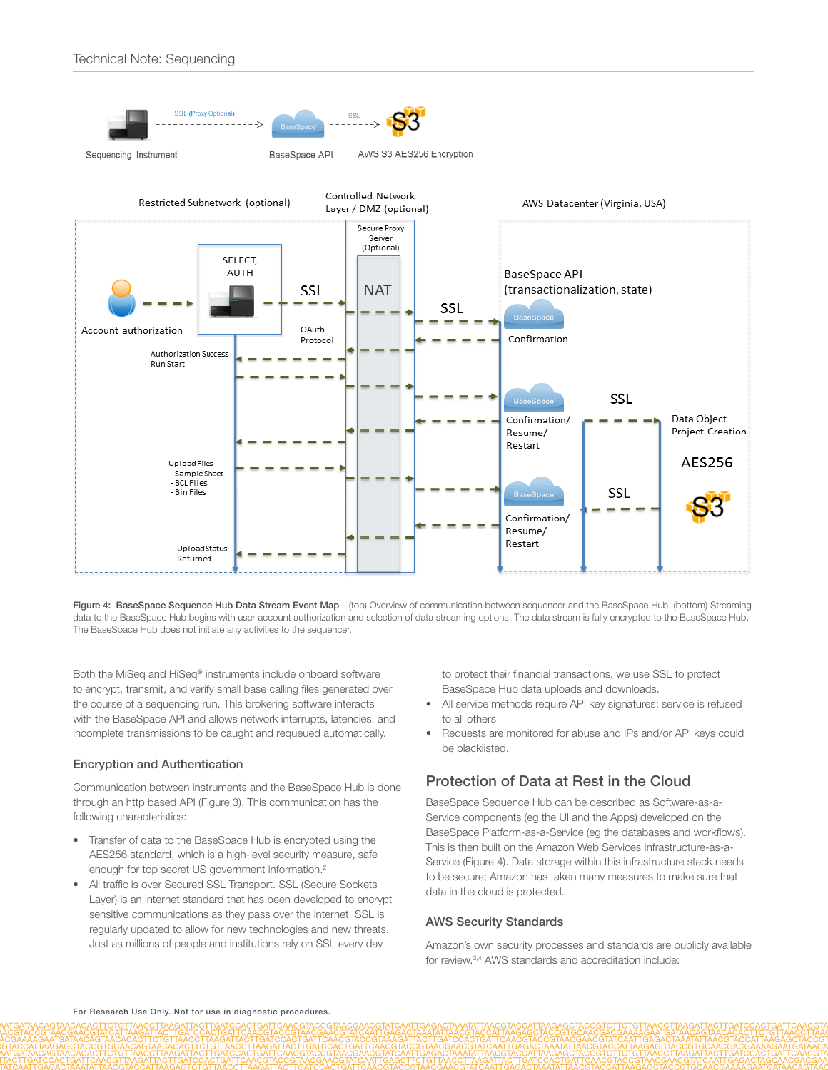

Figure 4: BaseSpace Sequence Hub Data Stream Event Map-(top) Overview of communication between sequencer and the BaseSpace Hub. (bottom) Streaming data to the BaseSpace Hub begins with user account authorization and selection of data streaming options. The data stream is fully encrypted to the BaseSpace Hub. The BaseSpace Hub does not initiate any activities to the sequencer.

Both the MiSeq and HiSeq® instruments include onboard software to encrypt, transmit, and verify small base calling files generated over the course of a sequencing run. This brokering software interacts with the BaseSpace API and allows network interrupts, latencies, and incomplete transmissions to be caught and requeued automatically.

#### Encryption and Authentication

Communication between instruments and the BaseSpace Hub is done through an http based API (Figure 3). This communication has the following characteristics:

- Transfer of data to the BaseSpace Hub is encrypted using the AES256 standard, which is a high-level security measure, safe enough for top secret US government information.<sup>[2](#page-2-1)</sup>
- All traffic is over Secured SSL Transport. SSL (Secure Sockets Layer) is an internet standard that has been developed to encrypt sensitive communications as they pass over the internet. SSL is regularly updated to allow for new technologies and new threats. Just as millions of people and institutions rely on SSL every day

to protect their financial transactions, we use SSL to protect BaseSpace Hub data uploads and downloads.

- All service methods require API key signatures; service is refused to all others
- Requests are monitored for abuse and IPs and/or API keys could be blacklisted.

## Protection of Data at Rest in the Cloud

BaseSpace Sequence Hub can be described as Software-as-a-Service components (eg the UI and the Apps) developed on the BaseSpace Platform-as-a-Service (eg the databases and workflows). This is then built on the Amazon Web Services Infrastructure-as-a-Service (Figure 4). Data storage within this infrastructure stack needs to be secure; Amazon has taken many measures to make sure that data in the cloud is protected.

#### AWS Security Standards

Amazon's own security processes and standards are publicly available for review.[3](#page-2-2),[4](#page-2-3) AWS standards and accreditation include: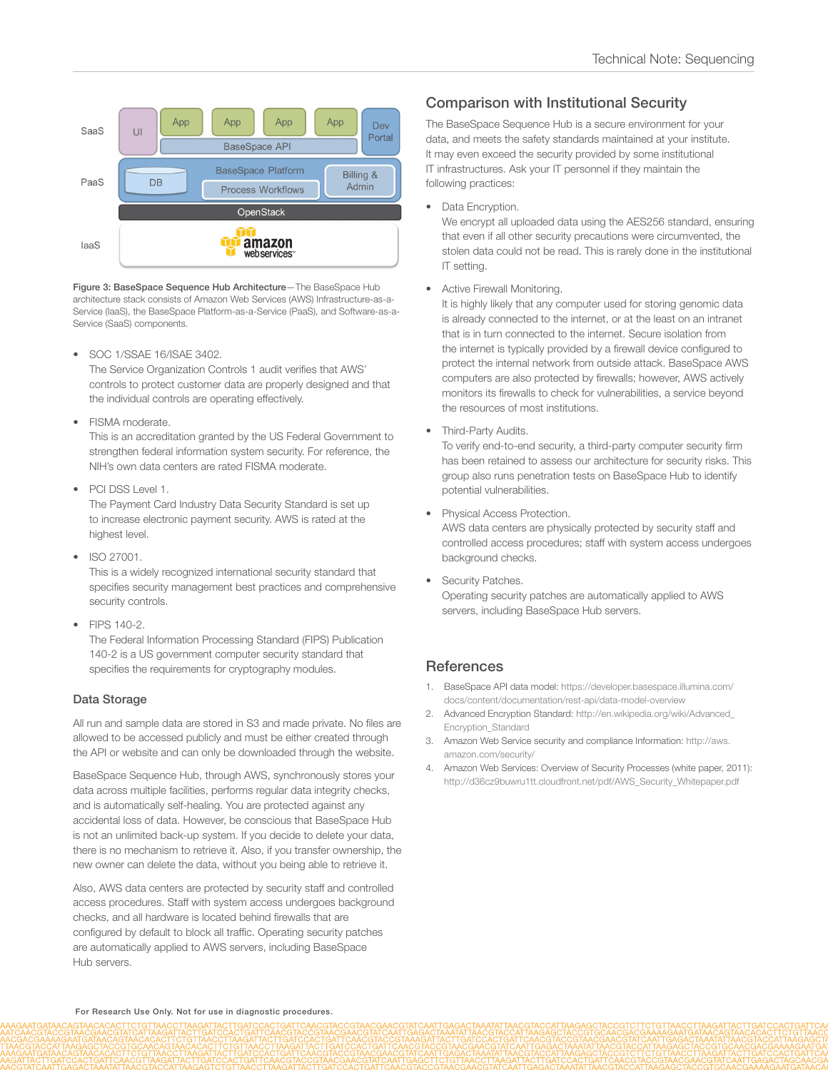

Figure 3: BaseSpace Sequence Hub Architecture—The BaseSpace Hub architecture stack consists of Amazon Web Services (AWS) Infrastructure-as-a-Service (IaaS), the BaseSpace Platform-as-a-Service (PaaS), and Software-as-a-Service (SaaS) components.

• SOC 1/SSAE 16/ISAE 3402.

The Service Organization Controls 1 audit verifies that AWS' controls to protect customer data are properly designed and that the individual controls are operating effectively.

• FISMA moderate.

This is an accreditation granted by the US Federal Government to strengthen federal information system security. For reference, the NIH's own data centers are rated FISMA moderate.

- PCI DSS Level 1. The Payment Card Industry Data Security Standard is set up to increase electronic payment security. AWS is rated at the highest level.
- ISO 27001. This is a widely recognized international security standard that specifies security management best practices and comprehensive security controls.
- FIPS 140-2. The Federal Information Processing Standard (FIPS) Publication 140-2 is a US government computer security standard that specifies the requirements for cryptography modules.

#### Data Storage

All run and sample data are stored in S3 and made private. No files are allowed to be accessed publicly and must be either created through the API or website and can only be downloaded through the website.

BaseSpace Sequence Hub, through AWS, synchronously stores your data across multiple facilities, performs regular data integrity checks, and is automatically self-healing. You are protected against any accidental loss of data. However, be conscious that BaseSpace Hub is not an unlimited back-up system. If you decide to delete your data, there is no mechanism to retrieve it. Also, if you transfer ownership, the new owner can delete the data, without you being able to retrieve it.

Also, AWS data centers are protected by security staff and controlled access procedures. Staff with system access undergoes background checks, and all hardware is located behind firewalls that are configured by default to block all traffic. Operating security patches are automatically applied to AWS servers, including BaseSpace Hub canzare

## Comparison with Institutional Security

The BaseSpace Sequence Hub is a secure environment for your data, and meets the safety standards maintained at your institute. It may even exceed the security provided by some institutional IT infrastructures. Ask your IT personnel if they maintain the following practices:

Data Encryption.

We encrypt all uploaded data using the AES256 standard, ensuring that even if all other security precautions were circumvented, the stolen data could not be read. This is rarely done in the institutional IT setting.

Active Firewall Monitoring.

It is highly likely that any computer used for storing genomic data is already connected to the internet, or at the least on an intranet that is in turn connected to the internet. Secure isolation from the internet is typically provided by a firewall device configured to protect the internal network from outside attack. BaseSpace AWS computers are also protected by firewalls; however, AWS actively monitors its firewalls to check for vulnerabilities, a service beyond the resources of most institutions.

• Third-Party Audits.

To verify end-to-end security, a third-party computer security firm has been retained to assess our architecture for security risks. This group also runs penetration tests on BaseSpace Hub to identify potential vulnerabilities.

• Physical Access Protection.

AWS data centers are physically protected by security staff and controlled access procedures; staff with system access undergoes background checks.

• Security Patches. Operating security patches are automatically applied to AWS servers, including BaseSpace Hub servers.

## **References**

- <span id="page-2-0"></span>1. BaseSpace API data model: [https://developer.basespace.illumina.com/](https://developer.basespace.illumina.com/docs/content/documentation/rest-api/data-model-overview) [docs/content/documentation/rest-api/data-model-overview](https://developer.basespace.illumina.com/docs/content/documentation/rest-api/data-model-overview)
- <span id="page-2-1"></span>2. Advanced Encryption Standard: [http://en.wikipedia.org/wiki/Advanced\\_](http://en.wikipedia.org/wiki/Advanced_Encryption_Standard) [Encryption\\_Standard](http://en.wikipedia.org/wiki/Advanced_Encryption_Standard)
- <span id="page-2-2"></span>3. Amazon Web Service security and compliance Information: [http://aws.](http://aws.amazon.com/security/) [amazon.com/security/](http://aws.amazon.com/security/)
- <span id="page-2-3"></span>4. Amazon Web Services: Overview of Security Processes (white paper, 2011): [http://d36cz9buwru1tt.cloudfront.net/pdf/AWS\\_Security\\_Whitepaper.pdf](http://d36cz9buwru1tt.cloudfront.net/pdf/AWS_Security_Whitepaper.pdf)